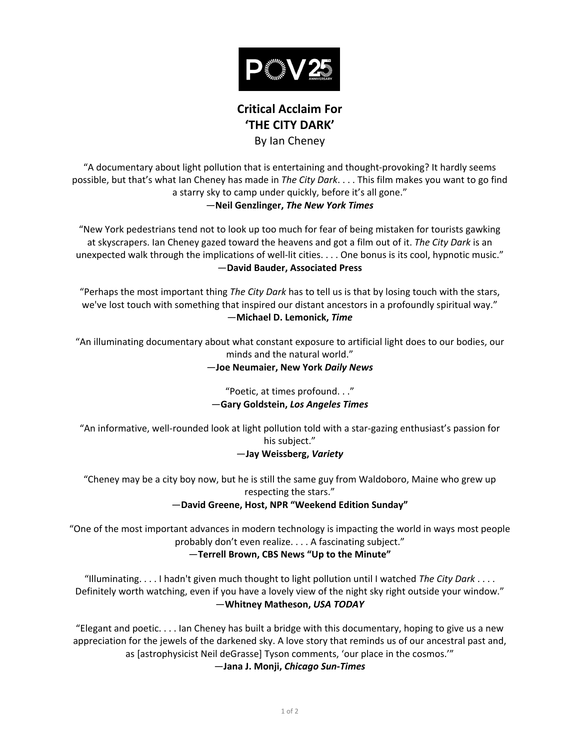

# **Critical Acclaim For 'THE CITY DARK'** By Ian Cheney

"A documentary about light pollution that is entertaining and thought-provoking? It hardly seems possible, but that's what Ian Cheney has made in The City Dark.... This film makes you want to go find a starry sky to camp under quickly, before it's all gone."

## —**Neil(Genzlinger,** *The\$New\$York\$Times*

"New York pedestrians tend not to look up too much for fear of being mistaken for tourists gawking at skyscrapers. Ian Cheney gazed toward the heavens and got a film out of it. The City Dark is an unexpected walk through the implications of well-lit cities. . . . One bonus is its cool, hypnotic music." —**David(Bauder,(Associated(Press**

"Perhaps the most important thing The City Dark has to tell us is that by losing touch with the stars, we've lost touch with something that inspired our distant ancestors in a profoundly spiritual way." —**Michael(D.(Lemonick,(***Time*

"An illuminating documentary about what constant exposure to artificial light does to our bodies, our minds and the natural world."

## —**Joe(Neumaier,(New(York(***Daily\$News*

"Poetic, at times profound. . ."  $-$ Gary Goldstein, Los Angeles Times

"An informative, well-rounded look at light pollution told with a star-gazing enthusiast's passion for his subject."

# —**Jay(Weissberg,(***Variety*

"Cheney may be a city boy now, but he is still the same guy from Waldoboro, Maine who grew up respecting the stars."

# $-$ David Greene, Host, NPR "Weekend Edition Sunday"

"One of the most important advances in modern technology is impacting the world in ways most people" probably don't even realize.... A fascinating subject."

# $-$ Terrell Brown, CBS News "Up to the Minute"

"Illuminating.....I hadn't given much thought to light pollution until I watched *The City Dark* .... Definitely worth watching, even if you have a lovely view of the night sky right outside your window." —**Whitney(Matheson,(***USA\$TODAY*

"Elegant and poetic. . . . Ian Cheney has built a bridge with this documentary, hoping to give us a new appreciation for the jewels of the darkened sky. A love story that reminds us of our ancestral past and, as [astrophysicist Neil deGrasse] Tyson comments, 'our place in the cosmos.'"

—**Jana(J.(Monji,(***Chicago\$Sun>Times*